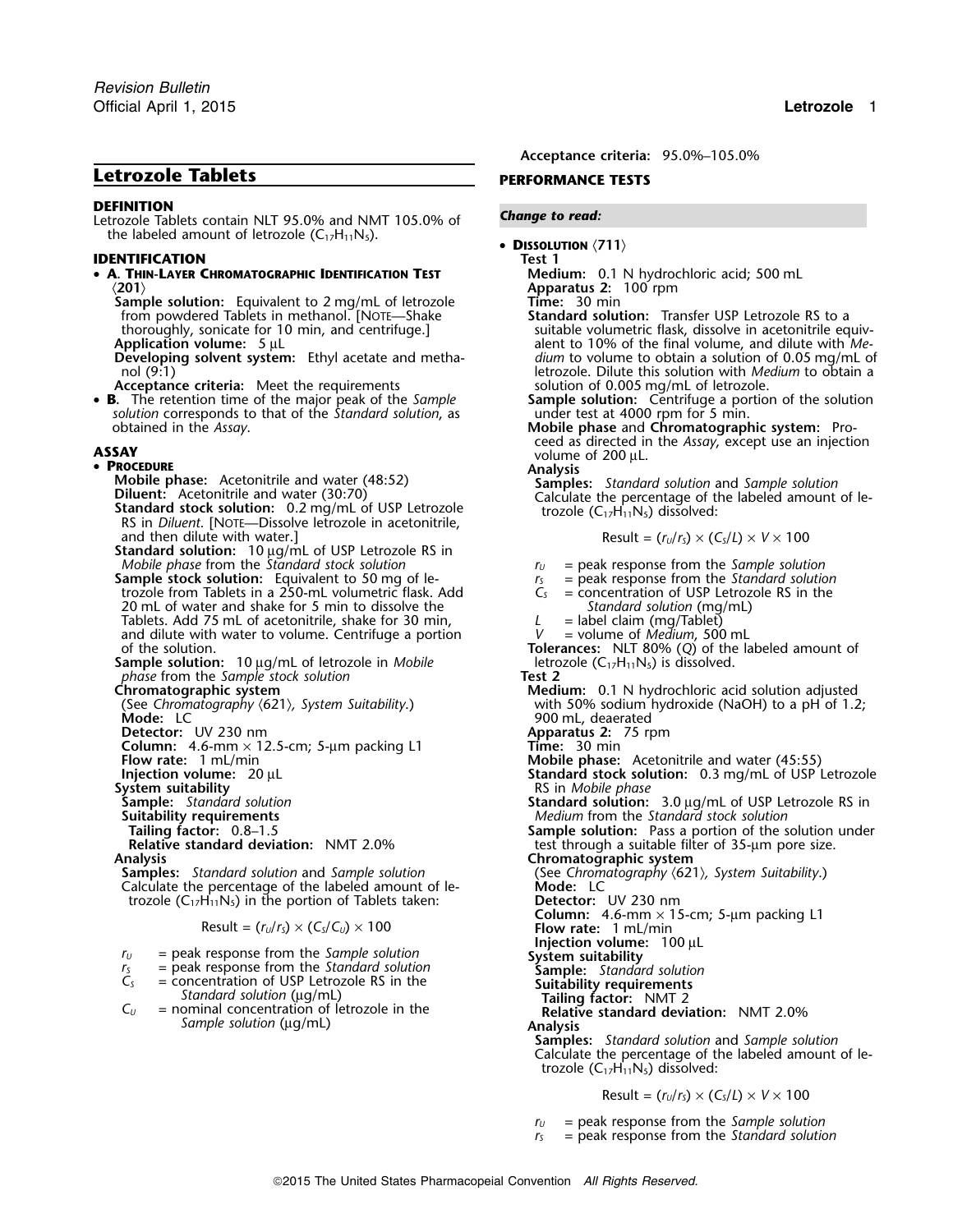## **Letrozole Tablets PERFORMANCE TESTS**

**DEFINITION** *Change to read:* Letrozole Tablets contain NLT 95.0% and NMT 105.0% of the labeled amount of letrozole  $(C_{17}H_{11}N_5)$ .

## **IDENTIFICATION Test 1**

# • **A. THIN-LAYER CHROMATOGRAPHIC IDENTIFICATION TEST Medium:** 0.1 N hydrochloric acid; 500 mL 〈**201**〉 **Apparatus 2:** 100 rpm

**Sample solution:** Equivalent to 2 mg/mL of letrozole from powdered Tablets in methanol. [NOTE—Shake from powdered Tablets in methanol. [NOTE—Shake **Standard solution:** Transfer USP Letrozole RS to a

**Developing solvent system:** Ethyl acetate and methanol (9:1) **letrozole. Dilute this solution with** *Medium* **to obtain a** letrozole. Dilute this solution with *Medium* to obtain a

**Acceptance criteria:** Meet the requirements

• B. The retention time of the major peak of the Sample *solution* corresponds to that of the *Standard solution*, as obtained in the *Assay*. **Mobile phase** and **Chromatographic system:** Pro-

## • PROCEDURE

and then dilute with water.]

**Standard solution:** 10 µg/mL of USP Letrozole RS in *Mobile phase* from the *Standard stock solution*  $r_U$  = peak response from the *Sample solution*<br> *r<sub>S</sub> = peak response from the <i>Standard solution*<br> *r<sub>S</sub> = peak response from the <i>Standard solution* 

**Sample stock solution:** Equivalent to 50 mg of le-<br>  $r_s$  = peak response from the *Standard solution*<br>  $r_s$  = concentration of USP Letrozole RS in the trozole from Tablets in a 250-mL volumetric flask. Add 20 mL of water and shake for 5 min to dissolve the *Standard solution* (mg/mL)  $\frac{St}{T}$  and  $\frac{St}{T}$  = label claim (mg/Tablet) Tablets. Add 75 mL of acetonitrile, shake for 30 min,  $L =$  label claim (mg/Tablet) and dilute with water to volume. Centrifuge a portion  $V =$  volume of *Medium*, 500 mL and dilute with water to volume. Centrifuge a portion of the solution.

Sample solution: 10 µg/mL of letrozole in *Mobile phase* from the *Sample* stock solution<br>**Chromatographic system Test 2** 

**Detector:** UV 230 nm<br> **Column:** 4.6-mm × 12.5-cm; 5-µm packing L1 **Time:** 30 min **Column:** 4.6-mm × 12.5-cm; 5-µm packing L1 **Flow rate:** 1 mL/min **System suitability** and solution in the set of the set of the system of the system of the system of the system of the system of the system of the system of the system of the system of the system of the system of the syste **Suitability requirements** *Medium* from the *Standard stock solution*

Relative standard deviation: NMT 2.0% test through a suitable filter of 35-µm pore size.<br>**Chromatographic system** 

**Samples:** *Standard solution* and *Sample solution* (See *Chromatography (621), System Suitability.*) Calculate the percentage of the labeled amount of le-<br> **Mode:** LC Calculate the percentage of the labeled amount of le-<br>trozole (C<sub>17</sub>H<sub>11</sub>N<sub>5</sub>) in the portion of Tablets taken: **Detector:** UV 230 nm trozole  $(C_{17}H_{11}N_5)$  in the portion of Tablets taken:

$$
Result = (r_U/r_S) \times (C_S/C_U) \times 100
$$

- 
- $r_U$  = peak response from the *Sample solution*<br>  $r_S$  = peak response from the *Standard solution*<br>  $C_S$  = concentration of USP Letrozole RS in the **Suitability**<br> **System suitability**<br> **Sample:** Standard solution<br> **Suitab** *<sup>r</sup><sup>S</sup>* = peak response from the *Standard solution* **Sample:** *Standard solution*
- *C<sub>S</sub>* = concentration of USP Letrozole RS in the **Suitability requirements**<br> *C<sub>U</sub>* = nominal concentration of letrozole in the **Tailing factor:** NMT 2<br> *C<sub>U</sub>* = nominal concentration of letrozole in the **Relative standar**
- $=$  nominal concentration of letrozole in the *Sample solution* (µg/mL) **Analysis**

*.* **Acceptance criteria:** 95.0%–105.0%

• **DISSOLUTION** 〈**711**〉

thoroughly, sonicate for 10 min, and centrifuge.]<br>Application volume: 5 µL alent to 10% of the final volume, and dilute with Mealent to 10% of the final volume, and dilute with *Me- dium* to volume to obtain a solution of 0.05 mg/mL of

**Sample solution:** Centrifuge a portion of the solution under test at 4000 rpm for 5 min.

**ASSAY CERCY ASSAY CERCY ASSAY CERCY ASSAY ASSAY ASSAY ASSAY ASSAY A ASSAY CERCY ASSAY CERCY ASSAY CERCY ASSAY CERCY ASSAY CERCY ASSAY CERCY ASSAY CERCY ASSAY CERCY ASSAY CERCY ASSAY C** 

**EXECUTE:**<br> **Analysis**<br> **Calculate the percentage of the labeled amount of le-<br>
<b>Diluent:** Acetonitrile and water (30:70)<br> **Standard stock solution:** 0.2 mg/mL of USP Letrozole<br> **Standard stock solution:** 0.2 mg/mL of USP

$$
Result = (r_U/r_S) \times (C_S/L) \times V \times 100
$$

**Tolerances:** NLT 80% (*Q*) of the labeled amount of letrozole  $(C_{17}H_{11}N_5)$  is dissolved.

**Medium:** 0.1 N hydrochloric acid solution adjusted (See *Chromatography* 〈621〉*, System Suitability*.) with 50% sodium hydroxide (NaOH) to a pH of 1.2; 900 mL, deaerated<br>**Apparatus 2:** 75 rpm

**Mobile phase:** Acetonitrile and water (45:55)

- **Injection volume:** 20 μL **Standard stock solution:** 0.3 mg/mL of USP Letrozole<br>System suitability **System suitability**
- **Sample:** *Standard solution* **Standard solution:** 3.0 µg/mL of USP Letrozole RS in

**Tailing factor:** 0.8–1.5 **Sample solution:** Pass a portion of the solution under **Relative standard deviation:** NMT 2.0% **Sample solution:** Pass a portion of the solution under **Relative standard deviation:** NMT 2.0% **Sam** 

**Analysis Chromatographic system**

**Column:** 4.6-mm × 15-cm; 5-µm packing L1 **Flow rate:** 1 mL/min

**Injection volume:** 100 µL System suitability

**Samples:** *Standard solution* and *Sample solution* Calculate the percentage of the labeled amount of letrozole  $(C_{17}H_{11}N_5)$  dissolved:

 $Result = (r<sub>U</sub>/r<sub>S</sub>) \times (C<sub>S</sub>/L) \times V \times 100$ 

*<sup>r</sup><sup>U</sup>* = peak response from the *Sample solution*

*<sup>r</sup><sup>S</sup>* = peak response from the *Standard solution*